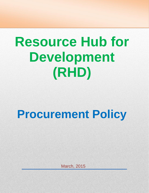# **Resource Hub for Development (RHD)**

## **Procurement Policy**

March, 2015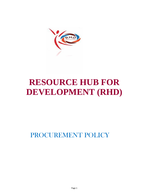

### **RESOURCE HUB FOR DEVELOPMENT (RHD)**

PROCUREMENT POLICY

Page 1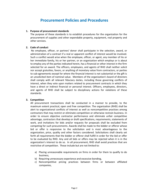#### **Procurement Policies and Procedures**

#### **1. Purpose of procurement standards**

The purpose of these standards is to establish procedures for the organization for the procurement of supplies and other expendable property, equipment, real property and other services.

#### **2. Code of conduct**

No employee, officer, or partner/ donor shall participate in the selection, award, or administration of a contract if a real or apparent conflict of interest would be involved. Such a conflict would arise when the employee, officer, or agent, any member of his or her immediate family, his or her partner, or an organization which employs or is about to employ any of the parties indicated herein, has a financial or other interest in the firm selected for an award. The officers, employees, and agents of RHD shall neither solicit nor accept gratuities, favors, or anything of monetary value from contractors, or parties to sub-agreements except for where the financial interest is not substantial or the gift is an unsolicited item of nominal value. Members of the organization's board of directors shall comply with all relevant fiduciary duties, including those governing conflicts of interest, when they vote upon matters related to procurement contracts in which they have a direct or indirect financial or personal interest. Officers, employees, directors, and agents of RHD shall be subject to disciplinary actions for violations of these standards.

#### **3. Competition**

All procurement transactions shall be conducted in a manner to provide, to the maximum extent practical, open and free competition. The organization (RHD) shall be alert to organizational conflicts of interest as well as noncompetitive practices among contractors that may restrict or eliminate competition or otherwise restrain business. In order to ensure objective contractor performance and eliminate unfair competitive advantage, contractors that develop or draft specifications, requirements, statements of work, and invitations for bids and/or requests for proposals shall be excluded from competing for such procurements. Awards shall be made to the bidder or offeror whose bid or offer is responsive to the solicitation and is most advantageous to the organization, price, quality and other factors considered. Solicitations shall clearly set forth all requirements that the bidder or offeror shall fulfill in order for the bid or offer to be evaluated by RHD. Any and all bids or offers may be rejected when it is in the organization's interest to do so. In all procurement, RHD shall avoid practices that are restrictive of competition. These include but are not limited to:

- a) Placing unreasonable requirements on firms in order for them to qualify to do business,
- b) Requiring unnecessary experience and excessive bonding,
- c) Noncompetitive pricing practices between firms or between affiliated companies,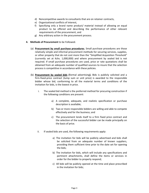- d) Noncompetitive awards to consultants that are on retainer contracts,
- e) Organizational conflicts of interest,
- f) Specifying only a brand name product/ material instead of allowing an equal product to be offered and describing the performance of other relevant requirements of the procurement, and
- g) Any arbitrary action in the procurement process.
- **4. Methods of Procurement** to be Followed.
	- (a) **Procurement by small purchase procedures.** Small purchase procedures are those relatively simple and informal procurement methods for securing services, supplies, or other property that do not cost more than the "Simplified Acquisition Threshold" (currently set at Kshs. 1,000,000) and where procurement by sealed bid is not required. If small purchase procedures are used, price or rate quotations shall be obtained from an adequate number of qualified sources to insure that the selection process is competitive in accordance with these policies.
	- (b) **Procurement by sealed bids (**formal advertising**).** Bids is publicly solicited and a firm-fixed-price contract (lump sum or unit price) is awarded to the responsible bidder whose bid, conforming to all the material terms and conditions of the invitation for bids, is the lowest in price.
		- i. The sealed bid method is the preferred method for procuring construction if the following conditions are present:
			- a) A complete, adequate, and realistic specification or purchase description is available;
			- b) Two or more responsible bidders are willing and able to compete effectively and for the business; and
			- c) The procurement lends itself to a firm fixed price contract and the selection of the successful bidder can be made principally on the basis of price.
		- ii. If sealed bids are used, the following requirements apply:
			- a) The invitation for bids will be publicly advertised and bids shall be solicited from an adequate number of known suppliers, providing them sufficient time prior to the date set for opening the bids;
			- b) The invitation for bids, which will include any specifications and pertinent attachments, shall define the items or services in order for the bidder to properly respond;
			- c) All bids will be publicly opened at the time and place prescribed in the invitation for bids;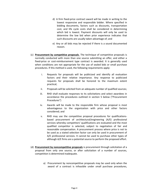- d) A firm fixed-price contract award will be made in writing to the lowest responsive and responsible bidder. Where specified in bidding documents, factors such as discounts, transportation cost, and life cycle costs shall be considered in determining which bid is lowest. Payment discounts will only be used to determine the low bid when prior experience indicates that such discounts are usually taken advantage of; and
- e) Any or all bids may be rejected if there is a sound documented reason.
- (c) **Procurement by competitive proposals**. The technique of competitive proposals is normally conducted with more than one source submitting an offer, and either a fixed-price or cost-reimbursement type contract is awarded. It is generally used when conditions are not appropriate for the use of sealed bids or small purchase procedures. If this method is used, the following requirements apply:
	- i. Requests for proposals will be publicized and identify all evaluation factors and their relative importance. Any response to publicized requests for proposals shall be honored to the maximum extent practical;
	- ii. Proposals will be solicited from an adequate number of qualified sources;
	- iii. RHD shall evaluate responses to its solicitations and select awardees in accordance the procedures outlined in section 5 below ("Procurement Procedures")
	- iv. Awards will be made to the responsible firm whose proposal is most advantageous to the organization with price and other factors considered; and
	- v. RHD may use the competitive proposal procedures for qualifications based procurement of architectural/engineering (A/E) professional services whereby competitors' qualifications are evaluated and the most qualified competitor is selected, subject to negotiation of fair and reasonable compensation. A procurement process where price is not to be used as a stated selection factor can only be used in procurement of A/E professional services. It cannot be used to purchase other types of although A/E firms are a potential source to perform the proposed effort.
- (d) **Procurement by noncompetitive proposals** is procurement through solicitation of a proposal from only one source, or after solicitation of a number of sources, competition is determined inadequate.
	- a) Procurement by noncompetitive proposals may be used only when the award of a contract is infeasible under small purchase procedures,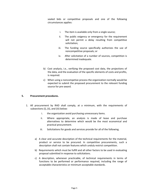sealed bids or competitive proposals and one of the following circumstances applies:

- i. The item is available only from a single source;
- ii. The public exigency or emergency for the requirement will not permit a delay resulting from competitive solicitation;
- iii. The funding source specifically authorizes the use of noncompetitive proposals; or
- iv. After solicitation of a number of sources, competition is determined inadequate.
- b) Cost analysis, i.e., verifying the proposed cost data, the projections of the data, and the evaluation of the specific elements of costs and profits, is required.
- c) When using a noncompetive process the organization normally would be expected to submit the proposed procurement to the relevant funding source for pre-award.

#### **5. Procurement procedures.**

- 1. All procurement by RHD shall comply, at a minimum, with the requirements of subsections (i), (ii), and (iii) below:
	- i. the organization avoid purchasing unnecessary items.
	- ii. Where appropriate, an analysis is made of lease and purchase alternatives to determine which would be the most economical and practical procurement.
	- iii. Solicitations for goods and services provide for all of the following.
	- a) A clear and accurate description of the technical requirements for the material, product or service to be procured. In competitive procurements, such a description shall not contain features which unduly restrict competition.
	- b) Requirements which must be fulfill and all other factors to be used in evaluating proposal submitted in response to solicitations.
	- c) A description, whenever practicable, of technical requirements in terms of functions to be performed or performance required, including the range of acceptable characteristics or minimum acceptable standards.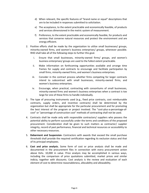- d) When relevant, the specific features of "brand name or equal" descriptions that are to be included in responses submitted to solicitation.
- e) The acceptance, to the extent practicable and economically feasible, of products and services dimensioned in the metric system of measurement.
- f) Preference, to the extent practicable and economically feasible, for products and services that conserve natural resources and protect the environment and are energy efficient.
- 2. Positive efforts shall be made by the organization to utilize small businesses/ groups, minority-owned firms, and women's business enterprises/ groups, whenever possible. RHD shall take all of the following steps to further this goal.
	- i. Ensure that small businesses, minority-owned firms/ groups, and women's business enterprises/ groups are used to the fullest extent practicable.
	- ii. Make information on forthcoming opportunities available and arrange time frames for supply and contracts to encourage and facilitate participation by small firms, minority-owned firms, and women's business enterprises.
	- iii. Consider in the contract process whether firms competing for larger contracts intend to subcontract with small businesses, minority-owned firms, and women's business enterprises.
	- iv. Encourage, when practical, contracting with consortiums of small businesses, minority-owned firms and women's business enterprises when a contract is too large for one of these firms to handle individually.
- 3. The type of procuring instruments used (e.g., fixed price contracts, cost reimbursable contracts, supply orders, and incentive contracts) shall be determined by the organization but shall be appropriate for the particular procurement and for promoting the best interest of the program or project involved. The "cost-plus-a-percentage-of cost" or "percentage of construction cost" methods of contracting shall not be used.
- 4. Contracts shall be made only with responsible contractors/ suppliers who possess the potential ability to perform successfully under the terms and conditions of the proposed procurement. Consideration shall be given to such matters as contractor/ supplier integrity, record of past performance, financial and technical resources or accessibility to other necessary resources.
- 5. **Debarment and Suspension-** Contractors with awards that exceed the small purchase threshold shall provide the required certification regarding its exclusion status and that of its principal employees.
- 6. **Cost and price analysis.** Some form of cost or price analysis shall be made and documented in the procurement files in connection with every procurement action above Kshs. 10,000 in value. Price analysis may be accomplished in various ways, including the comparison of price quotations submitted, market prices and similar indicia, together with discounts. Cost analysis is the review and evaluation of each element of cost to determine reasonableness, allocability and allowability.